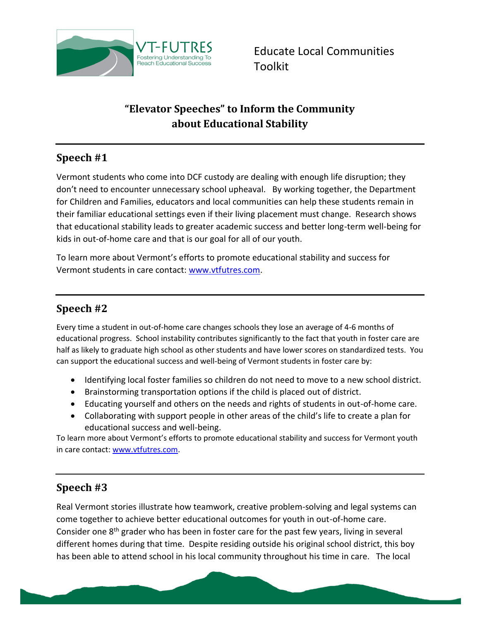

Educate Local Communities Toolkit

# **"Elevator Speeches" to Inform the Community about Educational Stability**

### **Speech #1**

Vermont students who come into DCF custody are dealing with enough life disruption; they don't need to encounter unnecessary school upheaval. By working together, the Department for Children and Families, educators and local communities can help these students remain in their familiar educational settings even if their living placement must change. Research shows that educational stability leads to greater academic success and better long-term well-being for kids in out-of-home care and that is our goal for all of our youth.

To learn more about Vermont's efforts to promote educational stability and success for Vermont students in care contact: [www.vtfutres.com.](http://www.vtfutres.com/)

#### **Speech #2**

Every time a student in out-of-home care changes schools they lose an average of 4-6 months of educational progress. School instability contributes significantly to the fact that youth in foster care are half as likely to graduate high school as other students and have lower scores on standardized tests. You can support the educational success and well-being of Vermont students in foster care by:

- Identifying local foster families so children do not need to move to a new school district.
- Brainstorming transportation options if the child is placed out of district.
- Educating yourself and others on the needs and rights of students in out-of-home care.
- Collaborating with support people in other areas of the child's life to create a plan for educational success and well-being.

To learn more about Vermont's efforts to promote educational stability and success for Vermont youth in care contact[: www.vtfutres.com.](http://www.vtfutres.com/)

## **Speech #3**

Real Vermont stories illustrate how teamwork, creative problem-solving and legal systems can come together to achieve better educational outcomes for youth in out-of-home care. Consider one 8<sup>th</sup> grader who has been in foster care for the past few years, living in several different homes during that time. Despite residing outside his original school district, this boy has been able to attend school in his local community throughout his time in care. The local